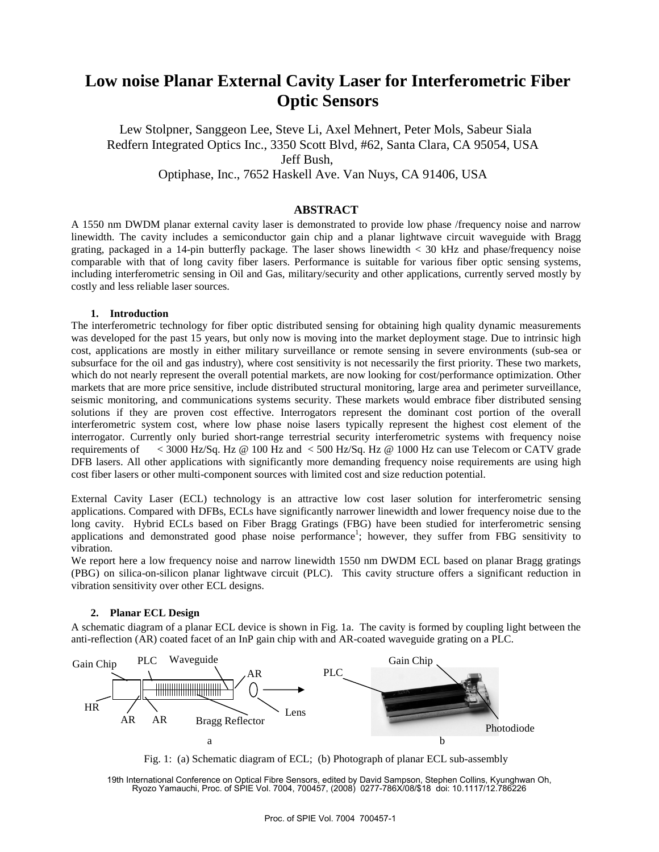# **Low noise Planar External Cavity Laser for Interferometric Fiber Optic Sensors**

 Lew Stolpner, Sanggeon Lee, Steve Li, Axel Mehnert, Peter Mols, Sabeur Siala Redfern Integrated Optics Inc., 3350 Scott Blvd, #62, Santa Clara, CA 95054, USA Jeff Bush,

Optiphase, Inc., 7652 Haskell Ave. Van Nuys, CA 91406, USA

# **ABSTRACT**

A 1550 nm DWDM planar external cavity laser is demonstrated to provide low phase /frequency noise and narrow linewidth. The cavity includes a semiconductor gain chip and a planar lightwave circuit waveguide with Bragg grating, packaged in a 14-pin butterfly package. The laser shows linewidth < 30 kHz and phase/frequency noise comparable with that of long cavity fiber lasers. Performance is suitable for various fiber optic sensing systems, including interferometric sensing in Oil and Gas, military/security and other applications, currently served mostly by costly and less reliable laser sources.

### **1. Introduction**

The interferometric technology for fiber optic distributed sensing for obtaining high quality dynamic measurements was developed for the past 15 years, but only now is moving into the market deployment stage. Due to intrinsic high cost, applications are mostly in either military surveillance or remote sensing in severe environments (sub-sea or subsurface for the oil and gas industry), where cost sensitivity is not necessarily the first priority. These two markets, which do not nearly represent the overall potential markets, are now looking for cost/performance optimization. Other markets that are more price sensitive, include distributed structural monitoring, large area and perimeter surveillance, seismic monitoring, and communications systems security. These markets would embrace fiber distributed sensing solutions if they are proven cost effective. Interrogators represent the dominant cost portion of the overall interferometric system cost, where low phase noise lasers typically represent the highest cost element of the interrogator. Currently only buried short-range terrestrial security interferometric systems with frequency noise requirements of < 3000 Hz/Sq. Hz @ 100 Hz and < 500 Hz/Sq. Hz @ 1000 Hz can use Telecom or CATV grade DFB lasers. All other applications with significantly more demanding frequency noise requirements are using high cost fiber lasers or other multi-component sources with limited cost and size reduction potential.

External Cavity Laser (ECL) technology is an attractive low cost laser solution for interferometric sensing applications. Compared with DFBs, ECLs have significantly narrower linewidth and lower frequency noise due to the long cavity. Hybrid ECLs based on Fiber Bragg Gratings (FBG) have been studied for interferometric sensing applications and demonstrated good phase noise performance<sup>1</sup>; however, they suffer from FBG sensitivity to vibration.

We report here a low frequency noise and narrow linewidth 1550 nm DWDM ECL based on planar Bragg gratings (PBG) on silica-on-silicon planar lightwave circuit (PLC). This cavity structure offers a significant reduction in vibration sensitivity over other ECL designs.

# **2. Planar ECL Design**

A schematic diagram of a planar ECL device is shown in Fig. 1a. The cavity is formed by coupling light between the anti-reflection (AR) coated facet of an InP gain chip with and AR-coated waveguide grating on a PLC.





19th International Conference on Optical Fibre Sensors, edited by David Sampson, Stephen Collins, Kyunghwan Oh, Ryozo Yamauchi, Proc. of SPIE Vol. 7004, 700457, (2008) 0277-786X/08/\$18 doi: 10.1117/12.786226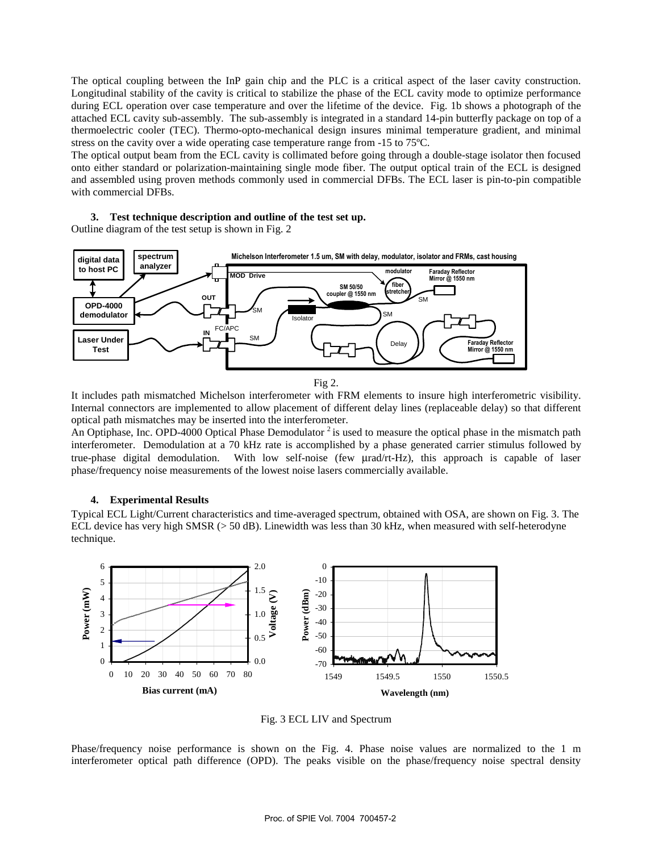The optical coupling between the InP gain chip and the PLC is a critical aspect of the laser cavity construction. Longitudinal stability of the cavity is critical to stabilize the phase of the ECL cavity mode to optimize performance during ECL operation over case temperature and over the lifetime of the device. Fig. 1b shows a photograph of the attached ECL cavity sub-assembly. The sub-assembly is integrated in a standard 14-pin butterfly package on top of a thermoelectric cooler (TEC). Thermo-opto-mechanical design insures minimal temperature gradient, and minimal stress on the cavity over a wide operating case temperature range from -15 to 75ºC.

The optical output beam from the ECL cavity is collimated before going through a double-stage isolator then focused onto either standard or polarization-maintaining single mode fiber. The output optical train of the ECL is designed and assembled using proven methods commonly used in commercial DFBs. The ECL laser is pin-to-pin compatible with commercial DFBs.

## **3. Test technique description and outline of the test set up.**

Outline diagram of the test setup is shown in Fig. 2



Fig 2.

It includes path mismatched Michelson interferometer with FRM elements to insure high interferometric visibility. Internal connectors are implemented to allow placement of different delay lines (replaceable delay) so that different optical path mismatches may be inserted into the interferometer.

An Optiphase, Inc. OPD-4000 Optical Phase Demodulator  $2$  is used to measure the optical phase in the mismatch path interferometer. Demodulation at a 70 kHz rate is accomplished by a phase generated carrier stimulus followed by true-phase digital demodulation. With low self-noise (few µrad/rt-Hz), this approach is capable of laser phase/frequency noise measurements of the lowest noise lasers commercially available.

# **4. Experimental Results**

Typical ECL Light/Current characteristics and time-averaged spectrum, obtained with OSA, are shown on Fig. 3. The ECL device has very high SMSR (> 50 dB). Linewidth was less than 30 kHz, when measured with self-heterodyne technique.



Fig. 3 ECL LIV and Spectrum

Phase/frequency noise performance is shown on the Fig. 4. Phase noise values are normalized to the 1 m interferometer optical path difference (OPD). The peaks visible on the phase/frequency noise spectral density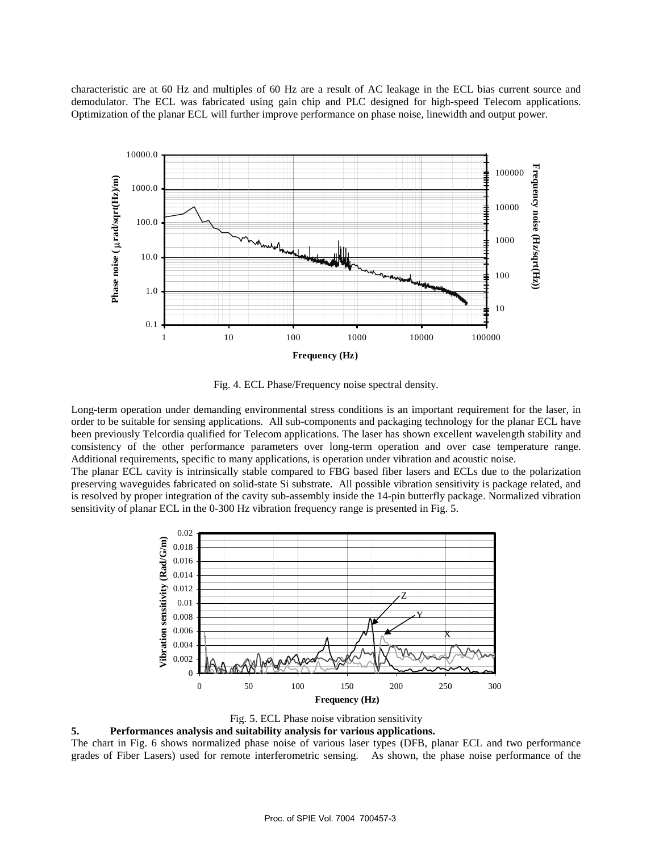characteristic are at 60 Hz and multiples of 60 Hz are a result of AC leakage in the ECL bias current source and demodulator. The ECL was fabricated using gain chip and PLC designed for high-speed Telecom applications. Optimization of the planar ECL will further improve performance on phase noise, linewidth and output power.



Fig. 4. ECL Phase/Frequency noise spectral density.

Long-term operation under demanding environmental stress conditions is an important requirement for the laser, in order to be suitable for sensing applications. All sub-components and packaging technology for the planar ECL have been previously Telcordia qualified for Telecom applications. The laser has shown excellent wavelength stability and consistency of the other performance parameters over long-term operation and over case temperature range. Additional requirements, specific to many applications, is operation under vibration and acoustic noise.

The planar ECL cavity is intrinsically stable compared to FBG based fiber lasers and ECLs due to the polarization preserving waveguides fabricated on solid-state Si substrate. All possible vibration sensitivity is package related, and is resolved by proper integration of the cavity sub-assembly inside the 14-pin butterfly package. Normalized vibration sensitivity of planar ECL in the 0-300 Hz vibration frequency range is presented in Fig. 5.



Fig. 5. ECL Phase noise vibration sensitivity

# **5. Performances analysis and suitability analysis for various applications.**

The chart in Fig. 6 shows normalized phase noise of various laser types (DFB, planar ECL and two performance grades of Fiber Lasers) used for remote interferometric sensing. As shown, the phase noise performance of the